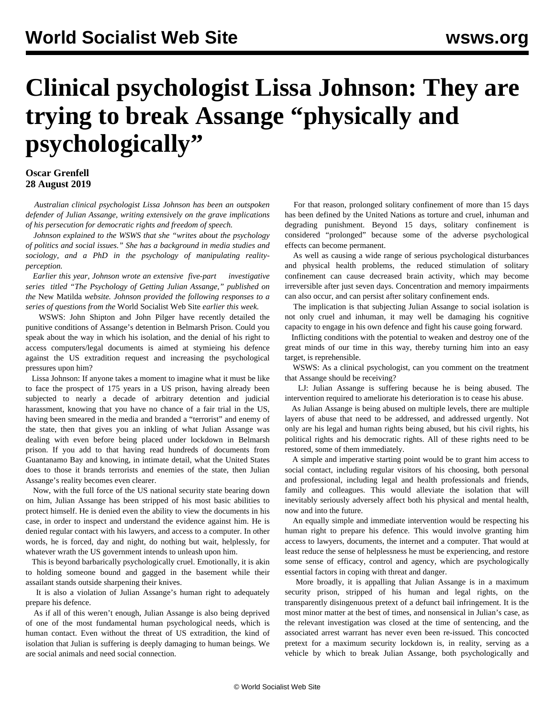## **Clinical psychologist Lissa Johnson: They are trying to break Assange "physically and psychologically"**

## **Oscar Grenfell 28 August 2019**

 *Australian clinical psychologist Lissa Johnson has been an outspoken defender of Julian Assange, writing extensively on the grave implications of his persecution for democratic rights and freedom of speech.*

 *Johnson explained to the WSWS that she "writes about the psychology of politics and social issues." She has a background in media studies and sociology, and a PhD in the psychology of manipulating realityperception.*

 *Earlier this year, Johnson wrote an extensive [five-part](https://newmatilda.com/2019/02/23/psychology-getting-julian-assange-part-1-whats-torture-got/) [investigative](https://newmatilda.com/2019/02/23/psychology-getting-julian-assange-part-1-whats-torture-got/) [series](https://newmatilda.com/2019/02/23/psychology-getting-julian-assange-part-1-whats-torture-got/) titled "The Psychology of Getting Julian Assange," published on the* New Matilda *website. Johnson provided the following responses to a series of questions from the* World Socialist Web Site *earlier this week.*

 WSWS: John Shipton and John Pilger have recently detailed the punitive conditions of Assange's detention in Belmarsh Prison. Could you speak about the way in which his isolation, and the denial of his right to access computers/legal documents is aimed at stymieing his defence against the US extradition request and increasing the psychological pressures upon him?

 Lissa Johnson: If anyone takes a moment to imagine what it must be like to face the prospect of 175 years in a US prison, having already been subjected to nearly a decade of arbitrary detention and judicial harassment, knowing that you have no chance of a fair trial in the US, having been smeared in the media and branded a "terrorist" and enemy of the state, then that gives you an inkling of what Julian Assange was dealing with even before being placed under lockdown in Belmarsh prison. If you add to that having read hundreds of documents from Guantanamo Bay and knowing, in intimate detail, what the United States does to those it brands terrorists and enemies of the state, then Julian Assange's reality becomes even clearer.

 Now, with the full force of the US national security state bearing down on him, Julian Assange has been stripped of his most basic abilities to protect himself. He is denied even the ability to view the documents in his case, in order to inspect and understand the evidence against him. He is denied regular contact with his lawyers, and access to a computer. In other words, he is forced, day and night, do nothing but wait, helplessly, for whatever wrath the US government intends to unleash upon him.

 This is beyond barbarically psychologically cruel. Emotionally, it is akin to holding someone bound and gagged in the basement while their assailant stands outside sharpening their knives.

 It is also a violation of Julian Assange's human right to adequately prepare his defence.

 As if all of this weren't enough, Julian Assange is also being deprived of one of the most fundamental human psychological needs, which is human contact. Even without the threat of US extradition, the kind of isolation that Julian is suffering is deeply damaging to human beings. We are social animals and need social connection.

 For that reason, prolonged solitary confinement of more than 15 days has been defined by the United Nations as torture and cruel, inhuman and degrading punishment. Beyond 15 days, solitary confinement is considered "prolonged" because some of the adverse psychological effects can become permanent.

 As well as causing a wide range of serious psychological disturbances and physical health problems, the reduced stimulation of solitary confinement can cause decreased brain activity, which may become irreversible after just seven days. Concentration and memory impairments can also occur, and can persist after solitary confinement ends.

 The implication is that subjecting Julian Assange to social isolation is not only cruel and inhuman, it may well be damaging his cognitive capacity to engage in his own defence and fight his cause going forward.

 Inflicting conditions with the potential to weaken and destroy one of the great minds of our time in this way, thereby turning him into an easy target, is reprehensible.

 WSWS: As a clinical psychologist, can you comment on the treatment that Assange should be receiving?

 LJ: Julian Assange is suffering because he is being abused. The intervention required to ameliorate his deterioration is to cease his abuse.

 As Julian Assange is being abused on multiple levels, there are multiple layers of abuse that need to be addressed, and addressed urgently. Not only are his legal and human rights being abused, but his civil rights, his political rights and his democratic rights. All of these rights need to be restored, some of them immediately.

 A simple and imperative starting point would be to grant him access to social contact, including regular visitors of his choosing, both personal and professional, including legal and health professionals and friends, family and colleagues. This would alleviate the isolation that will inevitably seriously adversely affect both his physical and mental health, now and into the future.

 An equally simple and immediate intervention would be respecting his human right to prepare his defence. This would involve granting him access to lawyers, documents, the internet and a computer. That would at least reduce the sense of helplessness he must be experiencing, and restore some sense of efficacy, control and agency, which are psychologically essential factors in coping with threat and danger.

 More broadly, it is appalling that Julian Assange is in a maximum security prison, stripped of his human and legal rights, on the transparently disingenuous pretext of a defunct bail infringement. It is the most minor matter at the best of times, and nonsensical in Julian's case, as the relevant investigation was closed at the time of sentencing, and the associated arrest warrant has never even been re-issued. This concocted pretext for a maximum security lockdown is, in reality, serving as a vehicle by which to break Julian Assange, both psychologically and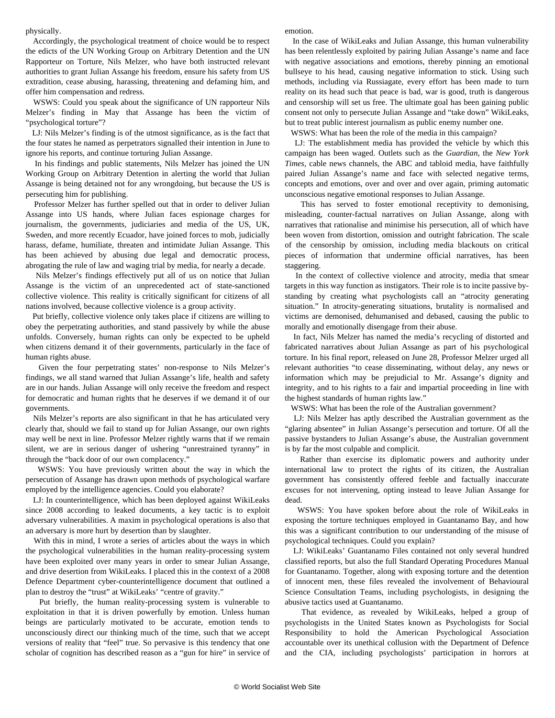physically.

 Accordingly, the psychological treatment of choice would be to respect the edicts of the UN Working Group on Arbitrary Detention and the UN Rapporteur on Torture, Nils Melzer, who have both instructed relevant authorities to grant Julian Assange his freedom, ensure his safety from US extradition, cease abusing, harassing, threatening and defaming him, and offer him compensation and redress.

 WSWS: Could you speak about the significance of UN rapporteur Nils Melzer's finding in May that Assange has been the victim of "psychological torture"?

 LJ: Nils Melzer's finding is of the utmost significance, as is the fact that the four states he named as perpetrators signalled their intention in June to ignore his reports, and continue torturing Julian Assange.

 In his findings and public statements, Nils Melzer has joined the UN Working Group on Arbitrary Detention in alerting the world that Julian Assange is being detained not for any wrongdoing, but because the US is persecuting him for publishing.

 Professor Melzer has further spelled out that in order to deliver Julian Assange into US hands, where Julian faces espionage charges for journalism, the governments, judiciaries and media of the US, UK, Sweden, and more recently Ecuador, have joined forces to mob, judicially harass, defame, humiliate, threaten and intimidate Julian Assange. This has been achieved by abusing due legal and democratic process, abrogating the rule of law and waging trial by media, for nearly a decade.

 Nils Melzer's findings effectively put all of us on notice that Julian Assange is the victim of an unprecedented act of state-sanctioned collective violence. This reality is critically significant for citizens of all nations involved, because collective violence is a group activity.

 Put briefly, collective violence only takes place if citizens are willing to obey the perpetrating authorities, and stand passively by while the abuse unfolds. Conversely, human rights can only be expected to be upheld when citizens demand it of their governments, particularly in the face of human rights abuse.

 Given the four perpetrating states' non-response to Nils Melzer's findings, we all stand warned that Julian Assange's life, health and safety are in our hands. Julian Assange will only receive the freedom and respect for democratic and human rights that he deserves if we demand it of our governments.

 Nils Melzer's reports are also significant in that he has articulated very clearly that, should we fail to stand up for Julian Assange, our own rights may well be next in line. Professor Melzer rightly warns that if we remain silent, we are in serious danger of ushering "unrestrained tyranny" in through the "back door of our own complacency."

 WSWS: You have previously written about the way in which the persecution of Assange has drawn upon methods of psychological warfare employed by the intelligence agencies. Could you elaborate?

 LJ: In counterintelligence, which has been deployed against WikiLeaks since 2008 according to leaked documents, a key tactic is to exploit adversary vulnerabilities. A maxim in psychological operations is also that an adversary is more hurt by desertion than by slaughter.

 With this in mind, I wrote a series of articles about the ways in which the psychological vulnerabilities in the human reality-processing system have been exploited over many years in order to smear Julian Assange, and drive desertion from WikiLeaks. I placed this in the context of a 2008 Defence Department cyber-counterintelligence document that outlined a plan to destroy the "trust" at WikiLeaks' "centre of gravity."

 Put briefly, the human reality-processing system is vulnerable to exploitation in that it is driven powerfully by emotion. Unless human beings are particularly motivated to be accurate, emotion tends to unconsciously direct our thinking much of the time, such that we accept versions of reality that "feel" true. So pervasive is this tendency that one scholar of cognition has described reason as a "gun for hire" in service of emotion.

 In the case of WikiLeaks and Julian Assange, this human vulnerability has been relentlessly exploited by pairing Julian Assange's name and face with negative associations and emotions, thereby pinning an emotional bullseye to his head, causing negative information to stick. Using such methods, including via Russiagate, every effort has been made to turn reality on its head such that peace is bad, war is good, truth is dangerous and censorship will set us free. The ultimate goal has been gaining public consent not only to persecute Julian Assange and "take down" WikiLeaks, but to treat public interest journalism as public enemy number one.

WSWS: What has been the role of the media in this campaign?

 LJ: The establishment media has provided the vehicle by which this campaign has been waged. Outlets such as the *Guardian*, the *New York Times*, cable news channels, the ABC and tabloid media, have faithfully paired Julian Assange's name and face with selected negative terms, concepts and emotions, over and over and over again, priming automatic unconscious negative emotional responses to Julian Assange.

 This has served to foster emotional receptivity to demonising, misleading, counter-factual narratives on Julian Assange, along with narratives that rationalise and minimise his persecution, all of which have been woven from distortion, omission and outright fabrication. The scale of the censorship by omission, including media blackouts on critical pieces of information that undermine official narratives, has been staggering.

 In the context of collective violence and atrocity, media that smear targets in this way function as instigators. Their role is to incite passive bystanding by creating what psychologists call an "atrocity generating situation." In atrocity-generating situations, brutality is normalised and victims are demonised, dehumanised and debased, causing the public to morally and emotionally disengage from their abuse.

 In fact, Nils Melzer has named the media's recycling of distorted and fabricated narratives about Julian Assange as part of his psychological torture. In his final report, released on June 28, Professor Melzer urged all relevant authorities "to cease disseminating, without delay, any news or information which may be prejudicial to Mr. Assange's dignity and integrity, and to his rights to a fair and impartial proceeding in line with the highest standards of human rights law."

WSWS: What has been the role of the Australian government?

 LJ: Nils Melzer has aptly described the Australian government as the "glaring absentee" in Julian Assange's persecution and torture. Of all the passive bystanders to Julian Assange's abuse, the Australian government is by far the most culpable and complicit.

 Rather than exercise its diplomatic powers and authority under international law to protect the rights of its citizen, the Australian government has consistently offered feeble and factually inaccurate excuses for not intervening, opting instead to leave Julian Assange for dead.

 WSWS: You have spoken before about the role of WikiLeaks in exposing the torture techniques employed in Guantanamo Bay, and how this was a significant contribution to our understanding of the misuse of psychological techniques. Could you explain?

 LJ: WikiLeaks' Guantanamo Files contained not only several hundred classified reports, but also the full Standard Operating Procedures Manual for Guantanamo. Together, along with exposing torture and the detention of innocent men, these files revealed the involvement of Behavioural Science Consultation Teams, including psychologists, in designing the abusive tactics used at Guantanamo.

 That evidence, as revealed by WikiLeaks, helped a group of psychologists in the United States known as Psychologists for Social Responsibility to hold the American Psychological Association accountable over its unethical collusion with the Department of Defence and the CIA, including psychologists' participation in horrors at